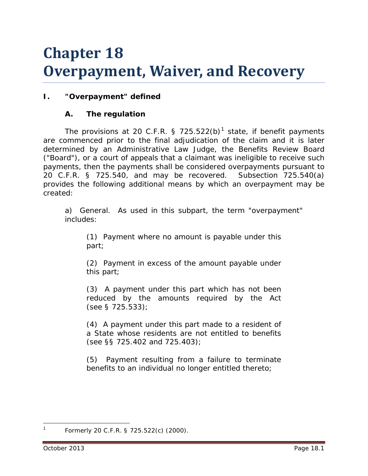# **Chapter 18 Overpayment, Waiver, and Recovery**

# **I. "Overpayment" defined**

# **A. The regulation**

The provisions at 20 C.F.R. § 725.522(b)<sup>[1](#page-0-0)</sup> state, if benefit payments are commenced prior to the final adjudication of the claim and it is later determined by an Administrative Law Judge, the Benefits Review Board ("Board"), or a court of appeals that a claimant was ineligible to receive such payments, then the payments shall be considered overpayments pursuant to 20 C.F.R. § 725.540, and may be recovered. Subsection 725.540(a) provides the following additional means by which an overpayment may be created:

a) General. As used in this subpart, the term "overpayment" includes:

(1) Payment where no amount is payable under this part;

(2) Payment in excess of the amount payable under this part;

(3) A payment under this part which has not been reduced by the amounts required by the Act (see § 725.533);

(4) A payment under this part made to a resident of a State whose residents are not entitled to benefits (see §§ 725.402 and 725.403);

(5) Payment resulting from a failure to terminate benefits to an individual no longer entitled thereto;

<span id="page-0-0"></span>Formerly 20 C.F.R. § 725.522(c) (2000).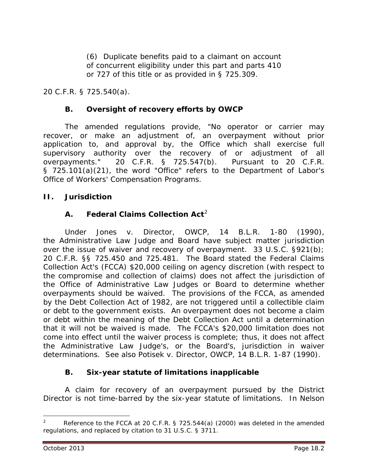(6) Duplicate benefits paid to a claimant on account of concurrent eligibility under this part and parts 410 or 727 of this title or as provided in § 725.309.

20 C.F.R. § 725.540(a).

## **B. Oversight of recovery efforts by OWCP**

The amended regulations provide, "No operator or carrier may recover, or make an adjustment of, an overpayment without prior application to, and approval by, the Office which shall exercise full supervisory authority over the recovery of or adjustment of all overpayments." 20 C.F.R. § 725.547(b). Pursuant to 20 C.F.R. § 725.101(a)(21), the word "Office" refers to the Department of Labor's Office of Workers' Compensation Programs.

#### **II. Jurisdiction**

## **A. Federal Claims Collection Act**[2](#page-1-0)

Under *Jones v. Director, OWCP*, 14 B.L.R. 1-80 (1990), the Administrative Law Judge and Board have subject matter jurisdiction over the issue of waiver and recovery of overpayment. 33 U.S.C. §921(b); 20 C.F.R. §§ 725.450 and 725.481. The Board stated the Federal Claims Collection Act's (FCCA) \$20,000 ceiling on agency discretion (with respect to the compromise and collection of claims) does not affect the jurisdiction of the Office of Administrative Law Judges or Board to determine whether overpayments should be waived. The provisions of the FCCA, as amended by the Debt Collection Act of 1982, are not triggered until a collectible claim or debt to the government exists. An overpayment does not become a claim or debt within the meaning of the Debt Collection Act until a determination that it will not be waived is made. The FCCA's \$20,000 limitation does not come into effect until the waiver process is complete; thus, it does not affect the Administrative Law Judge's, or the Board's, jurisdiction in waiver determinations. *See also Potisek v. Director, OWCP*, 14 B.L.R. 1-87 (1990).

## **B. Six-year statute of limitations inapplicable**

A claim for recovery of an overpayment pursued by the District Director is not time-barred by the six-year statute of limitations. In *Nelson* 

<span id="page-1-0"></span><sup>2</sup> Reference to the FCCA at 20 C.F.R. § 725.544(a) (2000) was deleted in the amended regulations, and replaced by citation to 31 U.S.C. § 3711.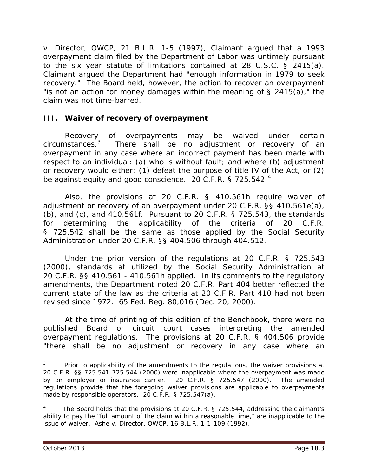*v. Director, OWCP*, 21 B.L.R. 1-5 (1997), Claimant argued that a 1993 overpayment claim filed by the Department of Labor was untimely pursuant to the six year statute of limitations contained at 28 U.S.C. § 2415(a). Claimant argued the Department had "enough information in 1979 to seek recovery." The Board held, however, the action to recover an overpayment "is not an action for money damages within the meaning of  $\S$  2415(a)," the claim was not time-barred.

#### **III. Waiver of recovery of overpayment**

Recovery of overpayments may be waived under certain circumstances.[3](#page-2-0) There shall be no adjustment or recovery of an overpayment in any case where an incorrect payment has been made with respect to an individual: (a) who is without fault; *and* where (b) adjustment or recovery would either: (1) defeat the purpose of title IV of the Act, or (2) be against equity and good conscience. 20 C.F.R. § 725.5[4](#page-2-1)2.<sup>4</sup>

Also, the provisions at 20 C.F.R. § 410.561h require waiver of adjustment or recovery of an overpayment under 20 C.F.R. §§ 410.561e(a), (b), and (c), and 410.561f. Pursuant to 20 C.F.R. § 725.543, the standards for determining the applicability of the criteria of 20 C.F.R. § 725.542 shall be the same as those applied by the Social Security Administration under 20 C.F.R. §§ 404.506 through 404.512.

Under the prior version of the regulations at 20 C.F.R. § 725.543 (2000), standards at utilized by the Social Security Administration at 20 C.F.R. §§ 410.561 - 410.561h applied. In its comments to the regulatory amendments, the Department noted 20 C.F.R. Part 404 better reflected the current state of the law as the criteria at 20 C.F.R. Part 410 had not been revised since 1972. 65 Fed. Reg. 80,016 (Dec. 20, 2000).

At the time of printing of this edition of the *Benchbook*, there were no published Board or circuit court cases interpreting the amended overpayment regulations. The provisions at 20 C.F.R. § 404.506 provide "there shall be no adjustment or recovery in any case where an

<span id="page-2-0"></span><sup>3</sup> Prior to applicability of the amendments to the regulations, the waiver provisions at 20 C.F.R. §§ 725.541-725.544 (2000) were *inapplicable* where the overpayment was made by an employer or insurance carrier. 20 C.F.R. § 725.547 (2000). The amended regulations provide that the foregoing waiver provisions *are applicable* to overpayments made by responsible operators. 20 C.F.R. § 725.547(a).

<span id="page-2-1"></span><sup>4</sup> The Board holds that the provisions at 20 C.F.R. § 725.544, addressing the claimant's ability to pay the "full amount of the claim within a reasonable time," are inapplicable to the issue of waiver. *Ashe v. Director, OWCP*, 16 B.L.R. 1-1-109 (1992).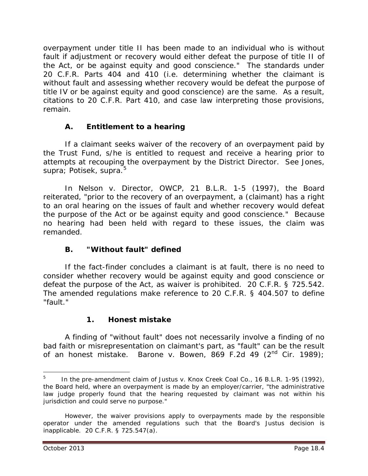overpayment under title II has been made to an individual who is without fault if adjustment or recovery would either defeat the purpose of title II of the Act, or be against equity and good conscience." The standards under 20 C.F.R. Parts 404 and 410 (*i.e.* determining whether the claimant is without fault and assessing whether recovery would be defeat the purpose of title IV or be against equity and good conscience) are the same. As a result, citations to 20 C.F.R. Part 410, and case law interpreting those provisions, remain.

# **A. Entitlement to a hearing**

If a claimant seeks waiver of the recovery of an overpayment paid by the Trust Fund, s/he is entitled to request and receive a hearing prior to attempts at recouping the overpayment by the District Director. *See Jones*, *supra*; *Potisek*, *supra*. [5](#page-3-0)

In *Nelson v. Director, OWCP*, 21 B.L.R. 1-5 (1997), the Board reiterated, "prior to the recovery of an overpayment, a (claimant) has a right to an oral hearing on the issues of fault and whether recovery would defeat the purpose of the Act or be against equity and good conscience." Because no hearing had been held with regard to these issues, the claim was remanded.

## **B. "Without fault" defined**

If the fact-finder concludes a claimant is at fault, there is no need to consider whether recovery would be against equity and good conscience or defeat the purpose of the Act, as waiver is prohibited. 20 C.F.R. § 725.542. The amended regulations make reference to 20 C.F.R. § 404.507 to define "fault."

## **1. Honest mistake**

A finding of "without fault" does not necessarily involve a finding of no bad faith or misrepresentation on claimant's part, as "fault" can be the result of an honest mistake. *Barone v. Bowen*, 869 F.2d 49 (2nd Cir. 1989);

<span id="page-3-0"></span><sup>5</sup> In the pre-amendment claim of *Justus v. Knox Creek Coal Co.*, 16 B.L.R. 1-95 (1992), the Board held, where an overpayment is made by an employer/carrier, "the administrative law judge properly found that the hearing requested by claimant was not within his jurisdiction and could serve no purpose."

However, the waiver provisions apply to overpayments made by the responsible operator under the amended regulations such that the Board's *Justus* decision is inapplicable. 20 C.F.R. § 725.547(a).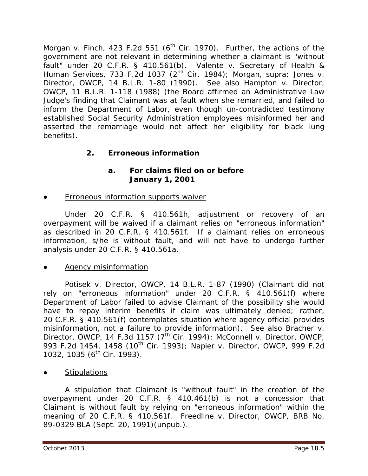*Morgan v. Finch*, 423 F.2d 551 (6<sup>th</sup> Cir. 1970). Further, the actions of the government are not relevant in determining whether a claimant is "without fault" under 20 C.F.R. § 410.561(b). *Valente v. Secretary of Health & Human Services*, 733 F.2d 1037 (2nd Cir. 1984); *Morgan*, *supra; Jones v. Director, OWCP*, 14 B.L.R. 1-80 (1990). *See also Hampton v. Director, OWCP*, 11 B.L.R. 1-118 (1988) (the Board affirmed an Administrative Law Judge's finding that Claimant was at fault when she remarried, and failed to inform the Department of Labor, even though un-contradicted testimony established Social Security Administration employees misinformed her and asserted the remarriage would not affect her eligibility for black lung benefits).

# **2. Erroneous information**

## **a. For claims filed on or before January 1, 2001**

**Erroneous information supports waiver** 

Under 20 C.F.R. § 410.561h, adjustment or recovery of an overpayment will be waived if a claimant relies on "erroneous information" as described in 20 C.F.R. § 410.561f. If a claimant relies on erroneous information, s/he is without fault, and will not have to undergo further analysis under 20 C.F.R. § 410.561a.

## **Agency misinformation**

*Potisek v. Director, OWCP*, 14 B.L.R. 1-87 (1990) (Claimant did not rely on "erroneous information" under 20 C.F.R. § 410.561(f) where Department of Labor failed to advise Claimant of the possibility she would have to repay interim benefits if claim was ultimately denied; rather, 20 C.F.R. § 410.561(f) contemplates situation where agency official provides misinformation, not a failure to provide information). *See also Bracher v. Director, OWCP*, 14 F.3d 1157 (7<sup>th</sup> Cir. 1994); *McConnell v. Director, OWCP*, 993 F.2d 1454, 1458 (10th Cir. 1993); *Napier v. Director, OWCP*, 999 F.2d 1032, 1035 (6<sup>th</sup> Cir. 1993).

**Stipulations** 

A stipulation that Claimant is "without fault" in the creation of the overpayment under 20 C.F.R. § 410.461(b) is not a concession that Claimant is without fault by relying on "erroneous information" within the meaning of 20 C.F.R. § 410.561f. *Freedline v. Director, OWCP*, BRB No. 89-0329 BLA (Sept. 20, 1991)(unpub.).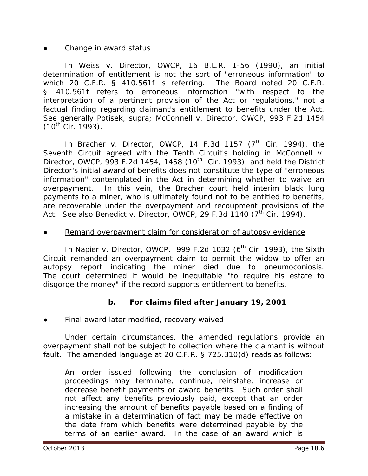#### **Change in award status**

In *Weiss v. Director, OWCP*, 16 B.L.R. 1-56 (1990), an initial determination of entitlement is not the sort of "erroneous information" to which 20 C.F.R. § 410.561f is referring. The Board noted 20 C.F.R. § 410.561f refers to erroneous information "with respect to the interpretation of a pertinent provision of the Act or regulations," not a factual finding regarding claimant's entitlement to benefits under the Act. *See generally Potisek*, *supra*; *McConnell v. Director, OWCP*, 993 F.2d 1454  $(10^{th}$  Cir. 1993).

In *Bracher v. Director, OWCP*, 14 F.3d 1157  $(7<sup>th</sup>$  Cir. 1994), the Seventh Circuit agreed with the Tenth Circuit's holding in *McConnell v. Director, OWCP*, 993 F.2d 1454, 1458 (10<sup>th</sup> Cir. 1993), and held the District Director's initial award of benefits does not constitute the type of "erroneous information" contemplated in the Act in determining whether to waive an overpayment. In this vein, the *Bracher* court held interim black lung payments to a miner, who is ultimately found not to be entitled to benefits, are recoverable under the overpayment and recoupment provisions of the Act. *See also Benedict v. Director, OWCP*, 29 F.3d 1140 (7<sup>th</sup> Cir. 1994).

#### Remand overpayment claim for consideration of autopsy evidence

In *Napier v. Director, OWCP*, 999 F.2d 1032 (6<sup>th</sup> Cir. 1993), the Sixth Circuit remanded an overpayment claim to permit the widow to offer an autopsy report indicating the miner died due to pneumoconiosis. The court determined it would be inequitable "to require his estate to disgorge the money" if the record supports entitlement to benefits.

#### **b. For claims filed after January 19, 2001**

#### Final award later modified, recovery waived

Under certain circumstances, the amended regulations provide an overpayment shall not be subject to collection where the claimant is without fault. The amended language at 20 C.F.R. § 725.310(d) reads as follows:

An order issued following the conclusion of modification proceedings may terminate, continue, reinstate, increase or decrease benefit payments or award benefits. Such order shall not affect any benefits previously paid, except that an order increasing the amount of benefits payable based on a finding of a mistake in a determination of fact may be made effective on the date from which benefits were determined payable by the terms of an earlier award. In the case of an award which is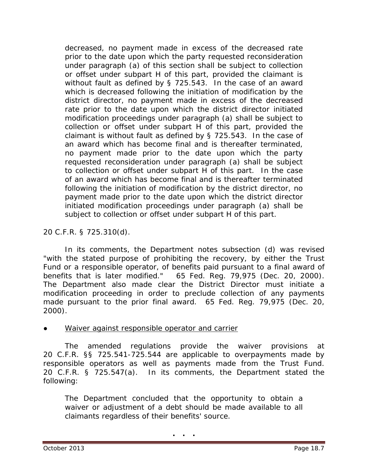decreased, no payment made in excess of the decreased rate prior to the date upon which the party requested reconsideration under paragraph (a) of this section shall be subject to collection or offset under subpart H of this part, provided the claimant is without fault as defined by § 725.543. In the case of an award which is decreased following the initiation of modification by the district director, no payment made in excess of the decreased rate prior to the date upon which the district director initiated modification proceedings under paragraph (a) shall be subject to collection or offset under subpart H of this part, provided the claimant is without fault as defined by § 725.543. In the case of an award which has become final and is thereafter terminated, no payment made prior to the date upon which the party requested reconsideration under paragraph (a) shall be subject to collection or offset under subpart H of this part. In the case of an award which has become final and is thereafter terminated following the initiation of modification by the district director, no payment made prior to the date upon which the district director initiated modification proceedings under paragraph (a) shall be subject to collection or offset under subpart H of this part.

#### 20 C.F.R. § 725.310(d).

In its comments, the Department notes subsection (d) was revised "with the stated purpose of prohibiting the recovery, by either the Trust Fund or a responsible operator, of benefits paid pursuant to a final award of benefits that is later modified." 65 Fed. Reg. 79,975 (Dec. 20, 2000). The Department also made clear the District Director must initiate a modification proceeding in order to preclude collection of any payments made pursuant to the prior final award. 65 Fed. Reg. 79,975 (Dec. 20, 2000).

#### **Waiver against responsible operator and carrier**

The amended regulations provide the waiver provisions at 20 C.F.R. §§ 725.541-725.544 are applicable to overpayments made by responsible operators as well as payments made from the Trust Fund. 20 C.F.R. § 725.547(a). In its comments, the Department stated the following:

The Department concluded that the opportunity to obtain a waiver or adjustment of a debt should be made available to all claimants regardless of their benefits' source.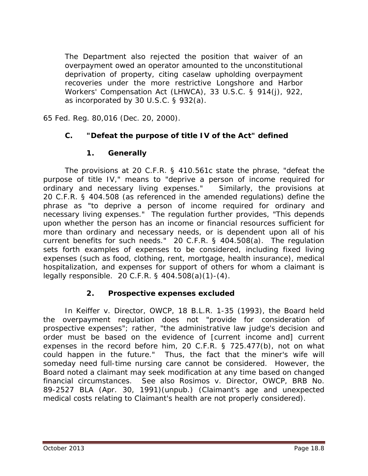The Department also rejected the position that waiver of an overpayment owed an operator amounted to the unconstitutional deprivation of property, citing caselaw upholding overpayment recoveries under the more restrictive Longshore and Harbor Workers' Compensation Act (LHWCA), 33 U.S.C. § 914(j), 922, as incorporated by 30 U.S.C. § 932(a).

65 Fed. Reg. 80,016 (Dec. 20, 2000).

#### **C. "Defeat the purpose of title IV of the Act" defined**

#### **1. Generally**

The provisions at 20 C.F.R. § 410.561c state the phrase, "defeat the purpose of title IV," means to "deprive a person of income required for ordinary and necessary living expenses." Similarly, the provisions at 20 C.F.R. § 404.508 (as referenced in the amended regulations) define the phrase as "to deprive a person of income required for ordinary and necessary living expenses." The regulation further provides, "This depends upon whether the person has an income or financial resources sufficient for more than ordinary and necessary needs, or is dependent upon all of his current benefits for such needs." 20 C.F.R. § 404.508(a). The regulation sets forth examples of expenses to be considered, including fixed living expenses (such as food, clothing, rent, mortgage, health insurance), medical hospitalization, and expenses for support of others for whom a claimant is legally responsible. 20 C.F.R. § 404.508(a)(1)-(4).

#### **2. Prospective expenses excluded**

In *Keiffer v. Director, OWCP*, 18 B.L.R. 1-35 (1993), the Board held the overpayment regulation does not "provide for consideration of prospective expenses"; rather, "the administrative law judge's decision and order must be based on the evidence of [current income and] current expenses in the record before him, 20 C.F.R. § 725.477(b), not on what could happen in the future." Thus, the fact that the miner's wife will someday need full-time nursing care cannot be considered. However, the Board noted a claimant may seek modification at any time based on changed financial circumstances. *See also Rosimos v. Director, OWCP*, BRB No. 89-2527 BLA (Apr. 30, 1991)(unpub.) (Claimant's age and unexpected medical costs relating to Claimant's health are not properly considered).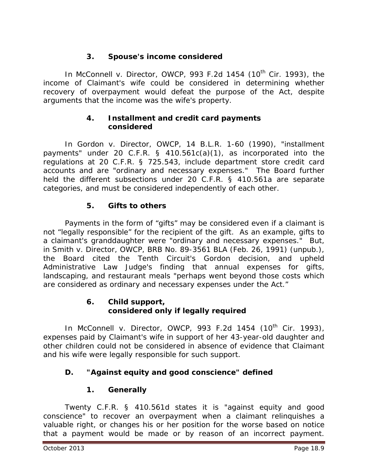## **3. Spouse's income considered**

In *McConnell v. Director, OWCP*, 993 F.2d 1454 (10<sup>th</sup> Cir. 1993), the income of Claimant's wife could be considered in determining whether recovery of overpayment would defeat the purpose of the Act, despite arguments that the income was the wife's property.

#### **4. Installment and credit card payments considered**

In *Gordon v. Director, OWCP*, 14 B.L.R. 1-60 (1990), "installment payments" under 20 C.F.R. § 410.561c(a)(1), as incorporated into the regulations at 20 C.F.R. § 725.543, include department store credit card accounts and are "ordinary and necessary expenses." The Board further held the different subsections under 20 C.F.R. § 410.561a are separate categories, and must be considered independently of each other.

## **5. Gifts to others**

Payments in the form of "gifts" may be considered even if a claimant is not "legally responsible" for the recipient of the gift. As an example, gifts to a claimant's granddaughter were "ordinary and necessary expenses." But, in *Smith v. Director, OWCP*, BRB No. 89-3561 BLA (Feb. 26, 1991) (unpub.), the Board cited the Tenth Circuit's *Gordon* decision, and upheld Administrative Law Judge's finding that annual expenses for gifts, landscaping, and restaurant meals "perhaps went beyond those costs which are considered as ordinary and necessary expenses under the Act."

#### **6. Child support, considered only if legally required**

In *McConnell v. Director, OWCP*, 993 F.2d 1454 (10<sup>th</sup> Cir. 1993), expenses paid by Claimant's wife in support of her 43-year-old daughter and other children could not be considered in absence of evidence that Claimant and his wife were legally responsible for such support.

## **D. "Against equity and good conscience" defined**

## **1. Generally**

Twenty C.F.R. § 410.561d states it is "against equity and good conscience" to recover an overpayment when a claimant relinquishes a valuable right, or changes his or her position for the worse based on notice that a payment would be made or by reason of an incorrect payment.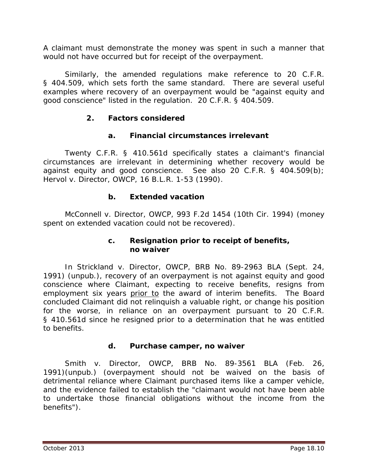A claimant must demonstrate the money was spent in such a manner that would not have occurred but for receipt of the overpayment.

Similarly, the amended regulations make reference to 20 C.F.R. § 404.509, which sets forth the same standard. There are several useful examples where recovery of an overpayment would be "against equity and good conscience" listed in the regulation. 20 C.F.R. § 404.509.

## **2. Factors considered**

#### **a. Financial circumstances irrelevant**

Twenty C.F.R. § 410.561d specifically states a claimant's financial circumstances are irrelevant in determining whether recovery would be against equity and good conscience. *See also* 20 C.F.R. § 404.509(b); *Hervol v. Director, OWCP*, 16 B.L.R. 1-53 (1990).

#### **b. Extended vacation**

*McConnell v. Director, OWCP*, 993 F.2d 1454 (10th Cir. 1994) (money spent on extended vacation could not be recovered).

#### **c. Resignation prior to receipt of benefits, no waiver**

In *Strickland v. Director, OWCP*, BRB No. 89-2963 BLA (Sept. 24, 1991) (unpub.), recovery of an overpayment is not against equity and good conscience where Claimant, expecting to receive benefits, resigns from employment six years prior to the award of interim benefits. The Board concluded Claimant did not relinquish a valuable right, or change his position for the worse, in reliance on an overpayment pursuant to 20 C.F.R. § 410.561d since he resigned prior to a determination that he was entitled to benefits.

#### **d. Purchase camper, no waiver**

*Smith v. Director, OWCP*, BRB No. 89-3561 BLA (Feb. 26, 1991)(unpub.) (overpayment should not be waived on the basis of detrimental reliance where Claimant purchased items like a camper vehicle, and the evidence failed to establish the "claimant would not have been able to undertake those financial obligations without the income from the benefits").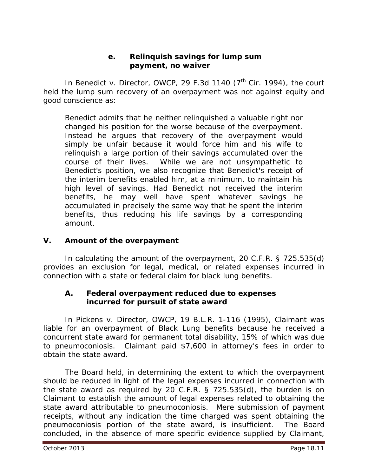#### **e. Relinquish savings for lump sum payment, no waiver**

In *Benedict v. Director, OWCP*, 29 F.3d 1140 (7<sup>th</sup> Cir. 1994), the court held the lump sum recovery of an overpayment was not against equity and good conscience as:

Benedict admits that he neither relinquished a valuable right nor changed his position for the worse because of the overpayment. Instead he argues that recovery of the overpayment would simply be unfair because it would force him and his wife to relinquish a large portion of their savings accumulated over the course of their lives. While we are not unsympathetic to Benedict's position, we also recognize that Benedict's receipt of the interim benefits enabled him, at a minimum, to maintain his high level of savings. Had Benedict not received the interim benefits, he may well have spent whatever savings he accumulated in precisely the same way that he spent the interim benefits, thus reducing his life savings by a corresponding amount.

## **V. Amount of the overpayment**

In calculating the amount of the overpayment, 20 C.F.R. § 725.535(d) provides an exclusion for legal, medical, or related expenses incurred in connection with a state or federal claim for black lung benefits.

#### **A. Federal overpayment reduced due to expenses incurred for pursuit of state award**

In *Pickens v. Director, OWCP*, 19 B.L.R. 1-116 (1995), Claimant was liable for an overpayment of Black Lung benefits because he received a concurrent state award for permanent total disability, 15% of which was due to pneumoconiosis. Claimant paid \$7,600 in attorney's fees in order to obtain the state award.

The Board held, in determining the extent to which the overpayment should be reduced in light of the legal expenses incurred in connection with the state award as required by 20 C.F.R. § 725.535(d), the burden is on Claimant to establish the amount of legal expenses related to obtaining the state award attributable to pneumoconiosis. Mere submission of payment receipts, without any indication the time charged was spent obtaining the pneumoconiosis portion of the state award, is insufficient. The Board concluded, in the absence of more specific evidence supplied by Claimant,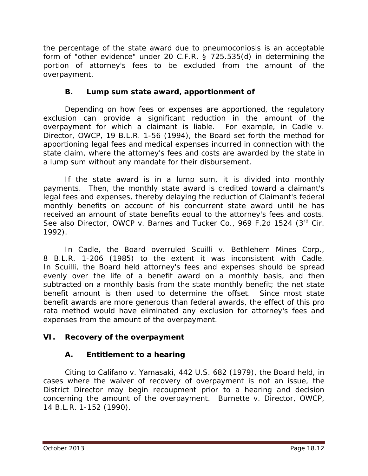the percentage of the state award due to pneumoconiosis is an acceptable form of "other evidence" under 20 C.F.R. § 725.535(d) in determining the portion of attorney's fees to be excluded from the amount of the overpayment.

## **B. Lump sum state award, apportionment of**

Depending on how fees or expenses are apportioned, the regulatory exclusion can provide a significant reduction in the amount of the overpayment for which a claimant is liable. For example, in *Cadle v. Director, OWCP,* 19 B.L.R. 1-56 (1994), the Board set forth the method for apportioning legal fees and medical expenses incurred in connection with the state claim, where the attorney's fees and costs are awarded by the state in a lump sum without any mandate for their disbursement.

If the state award is in a lump sum, it is divided into monthly payments. Then, the monthly state award is credited toward a claimant's legal fees and expenses, thereby delaying the reduction of Claimant's federal monthly benefits on account of his concurrent state award until he has received an amount of state benefits equal to the attorney's fees and costs. *See also Director, OWCP v. Barnes and Tucker Co.*, 969 F.2d 1524 (3rd Cir. 1992).

In *Cadle,* the Board overruled *Scuilli v. Bethlehem Mines Corp.*, 8 B.L.R. 1-206 (1985) to the extent it was inconsistent with *Cadle*. In *Scuilli*, the Board held attorney's fees and expenses should be spread evenly over the life of a benefit award on a monthly basis, and then subtracted on a monthly basis from the state monthly benefit; the net state benefit amount is then used to determine the offset. Since most state benefit awards are more generous than federal awards, the effect of this *pro rata* method would have eliminated any exclusion for attorney's fees and expenses from the amount of the overpayment.

## **VI. Recovery of the overpayment**

# **A. Entitlement to a hearing**

Citing to *Califano v. Yamasaki*, 442 U.S. 682 (1979), the Board held, in cases where the *waiver of recovery* of overpayment is *not* an issue, the District Director may begin recoupment prior to a hearing and decision concerning the amount of the overpayment. *Burnette v. Director, OWCP*, 14 B.L.R. 1-152 (1990).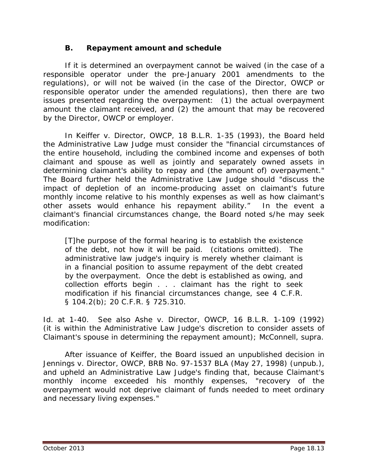#### **B. Repayment amount and schedule**

If it is determined an overpayment cannot be waived (in the case of a responsible operator under the pre-January 2001 amendments to the regulations), or will not be waived (in the case of the Director, OWCP or responsible operator under the amended regulations), then there are two issues presented regarding the overpayment: (1) the actual overpayment amount the claimant received, and (2) the amount that may be recovered by the Director, OWCP or employer.

In *Keiffer v. Director, OWCP*, 18 B.L.R. 1-35 (1993), the Board held the Administrative Law Judge must consider the "financial circumstances of the entire household, including the combined income and expenses of both claimant and spouse as well as jointly and separately owned assets in determining claimant's ability to repay and (the amount of) overpayment." The Board further held the Administrative Law Judge should "discuss the impact of depletion of an income-producing asset on claimant's future monthly income relative to his monthly expenses as well as how claimant's other assets would enhance his repayment ability." In the event a claimant's financial circumstances change, the Board noted s/he may seek modification:

[T]he purpose of the formal hearing is to establish the existence of the debt, not how it will be paid. (citations omitted). The administrative law judge's inquiry is merely whether claimant is in a financial position to assume repayment of the debt created by the overpayment. Once the debt is established as owing, and collection efforts begin . . . claimant has the right to seek modification if his financial circumstances change, *see* 4 C.F.R. § 104.2(b); 20 C.F.R. § 725.310.

*Id.* at 1-40. *See also Ashe v. Director, OWCP*, 16 B.L.R. 1-109 (1992) (it is within the Administrative Law Judge's discretion to consider assets of Claimant's spouse in determining the repayment amount); *McConnell, supra.* 

After issuance of *Keiffer*, the Board issued an unpublished decision in *Jennings v. Director, OWCP*, BRB No. 97-1537 BLA (May 27, 1998) (unpub.), and upheld an Administrative Law Judge's finding that, because Claimant's monthly income exceeded his monthly expenses, "recovery of the overpayment would not deprive claimant of funds needed to meet ordinary and necessary living expenses."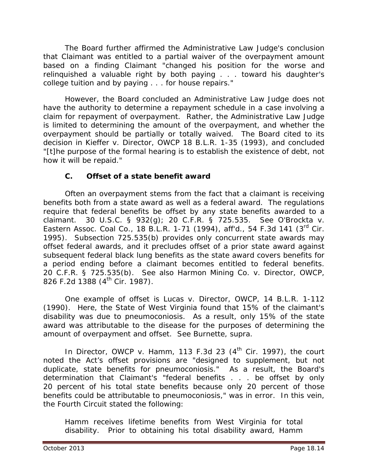The Board further affirmed the Administrative Law Judge's conclusion that Claimant was entitled to a partial waiver of the overpayment amount based on a finding Claimant "changed his position for the worse and relinquished a valuable right by both paying . . . toward his daughter's college tuition and by paying . . . for house repairs."

However, the Board concluded an Administrative Law Judge does not have the authority to determine a repayment schedule in a case involving a claim for repayment of overpayment. Rather, the Administrative Law Judge is limited to determining the amount of the overpayment, and whether the overpayment should be partially or totally waived. The Board cited to its decision in *Kieffer v. Director, OWCP* 18 B.L.R. 1-35 (1993), and concluded "[t]he purpose of the formal hearing is to establish the existence of debt, not how it will be repaid."

## **C. Offset of a state benefit award**

Often an overpayment stems from the fact that a claimant is receiving benefits both from a state award as well as a federal award. The regulations require that federal benefits be offset by any state benefits awarded to a claimant. 30 U.S.C. § 932(g); 20 C.F.R. § 725.535. *See O'Brockta v. Eastern Assoc. Coal Co.*, 18 B.L.R. 1-71 (1994), *aff'd.*, 54 F.3d 141 (3rd Cir. 1995). Subsection 725.535(b) provides only concurrent state awards may offset federal awards, and it precludes offset of a prior state award against subsequent federal black lung benefits as the state award covers benefits for a period ending before a claimant becomes entitled to federal benefits. 20 C.F.R. § 725.535(b). *See also Harmon Mining Co. v. Director, OWCP*, 826 F.2d 1388 (4<sup>th</sup> Cir. 1987).

One example of offset is *Lucas v. Director, OWCP*, 14 B.L.R. 1-112 (1990). Here, the State of West Virginia found that 15% of the claimant's disability was due to pneumoconiosis. As a result, only 15% of the state award was attributable to the disease for the purposes of determining the amount of overpayment and offset. *See Burnette, supra*.

In *Director, OWCP v. Hamm*, 113 F.3d 23 (4<sup>th</sup> Cir. 1997), the court noted the Act's offset provisions are "designed to supplement, but not duplicate, state benefits for pneumoconiosis." As a result, the Board's determination that Claimant's "federal benefits . . . be offset by only 20 percent of his total state benefits because only 20 percent of those benefits could be attributable to pneumoconiosis," was in error. In this vein, the Fourth Circuit stated the following:

Hamm receives lifetime benefits from West Virginia for total disability. Prior to obtaining his total disability award, Hamm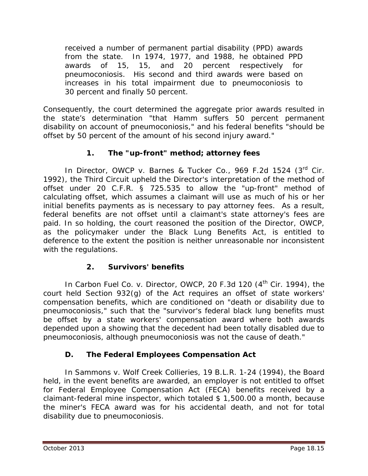received a number of permanent partial disability (PPD) awards from the state. In 1974, 1977, and 1988, he obtained PPD awards of 15, 15, and 20 percent respectively for pneumoconiosis. His second and third awards were based on increases in his total impairment due to pneumoconiosis to 30 percent and finally 50 percent.

Consequently, the court determined the aggregate prior awards resulted in the state's determination "that Hamm suffers 50 percent permanent disability on account of pneumoconiosis," and his federal benefits "should be offset by 50 percent of the amount of his second injury award."

# **1. The "up-front" method; attorney fees**

In *Director, OWCP v. Barnes & Tucker Co.*, 969 F.2d 1524 (3<sup>rd</sup> Cir. 1992), the Third Circuit upheld the Director's interpretation of the method of offset under 20 C.F.R. § 725.535 to allow the "up-front" method of calculating offset, which assumes a claimant will use as much of his or her initial benefits payments as is necessary to pay attorney fees. As a result, federal benefits are not offset until a claimant's state attorney's fees are paid. In so holding, the court reasoned the position of the Director, OWCP, as the policymaker under the Black Lung Benefits Act, is entitled to deference to the extent the position is neither unreasonable nor inconsistent with the regulations.

# **2. Survivors' benefits**

In *Carbon Fuel Co. v. Director, OWCP*, 20 F.3d 120 (4<sup>th</sup> Cir. 1994), the court held Section 932(g) of the Act requires an offset of state workers' compensation benefits, which are conditioned on "death *or* disability due to pneumoconiosis," such that the "survivor's federal black lung benefits must be offset by a state workers' compensation award where both awards depended upon a showing that the decedent had been totally disabled due to pneumoconiosis, although pneumoconiosis was not the cause of death."

## **D. The Federal Employees Compensation Act**

In *Sammons v. Wolf Creek Collieries*, 19 B.L.R. 1-24 (1994), the Board held, in the event benefits are awarded, an employer is not entitled to offset for Federal Employee Compensation Act (FECA) benefits received by a claimant-federal mine inspector, which totaled \$ 1,500.00 a month, because the miner's FECA award was for his accidental death, and not for total disability due to pneumoconiosis.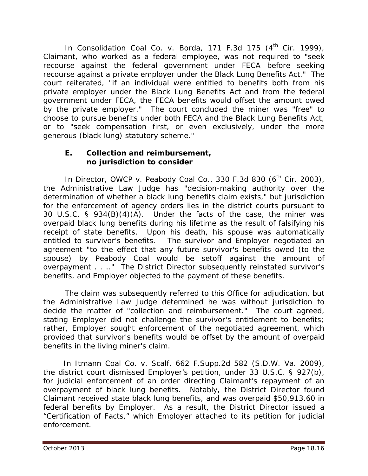In *Consolidation Coal Co. v. Borda*, 171 F.3d 175 (4<sup>th</sup> Cir. 1999), Claimant, who worked as a federal employee, was not required to "seek recourse against the federal government under FECA before seeking recourse against a private employer under the Black Lung Benefits Act." The court reiterated, "if an individual were entitled to benefits both from his private employer under the Black Lung Benefits Act and from the federal government under FECA, the FECA benefits would offset the amount owed by the private employer." The court concluded the miner was "free" to choose to pursue benefits under both FECA and the Black Lung Benefits Act, or to "seek compensation first, or even exclusively, under the more generous (black lung) statutory scheme."

#### **E. Collection and reimbursement, no jurisdiction to consider**

In *Director, OWCP v. Peabody Coal Co.*, 330 F.3d 830 (6<sup>th</sup> Cir. 2003), the Administrative Law Judge has "decision-making authority over the determination of whether a black lung benefits claim exists," but jurisdiction for the enforcement of agency orders lies in the district courts pursuant to 30 U.S.C. § 934(B)(4)(A). Under the facts of the case, the miner was overpaid black lung benefits during his lifetime as the result of falsifying his receipt of state benefits. Upon his death, his spouse was automatically entitled to survivor's benefits. The survivor and Employer negotiated an agreement "to the effect that any future survivor's benefits owed (to the spouse) by Peabody Coal would be setoff against the amount of overpayment . . .." The District Director subsequently reinstated survivor's benefits, and Employer objected to the payment of these benefits.

The claim was subsequently referred to this Office for adjudication, but the Administrative Law Judge determined he was without jurisdiction to decide the matter of "collection and reimbursement." The court agreed, stating Employer did not challenge the survivor's entitlement to benefits; rather, Employer sought enforcement of the negotiated agreement, which provided that survivor's benefits would be offset by the amount of overpaid benefits in the living miner's claim.

 In *Itmann Coal Co. v. Scalf*, 662 F.Supp.2d 582 (S.D.W. Va. 2009), the district court dismissed Employer's petition, under 33 U.S.C. § 927(b), for judicial enforcement of an order directing Claimant's repayment of an overpayment of black lung benefits. Notably, the District Director found Claimant received state black lung benefits, and was overpaid \$50,913.60 in federal benefits by Employer. As a result, the District Director issued a "Certification of Facts," which Employer attached to its petition for judicial enforcement.